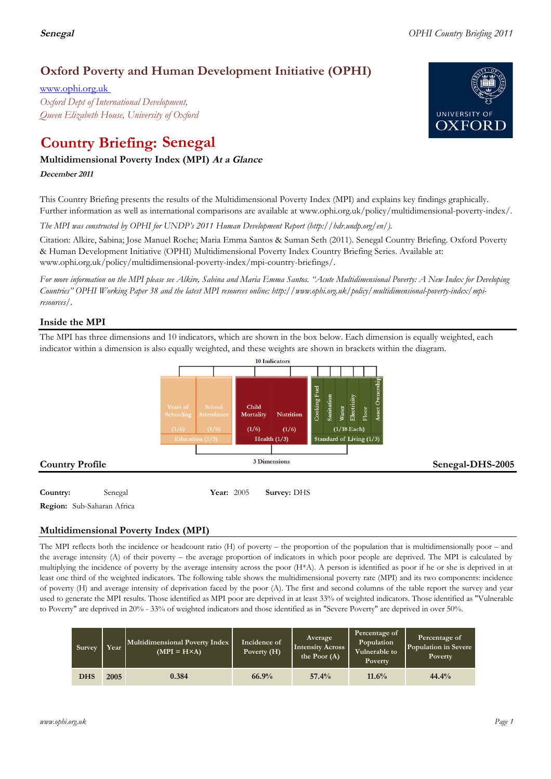# **Oxford Poverty and Human Development Initiative (OPHI)**

www.ophi.org.uk *Oxford Dept of International Development, Queen Elizabeth House, University of Oxford*

# **Country Briefing: Senegal**

# **Multidimensional Poverty Index (MPI) At <sup>a</sup> Glance**

**December <sup>2011</sup>**

This Country Briefing presents the results of the Multidimensional Poverty Index (MPI) and explains key findings graphically. Further information as well as international comparisons are available at www.ophi.org.uk/policy/multidimensional-poverty-index/.

*The MPI was constructed by OPHI for UNDP's 2011 Human Development Report (http://hdr.undp.org/en/).*

Citation: Alkire, Sabina; Jose Manuel Roche; Maria Emma Santos & Suman Seth (2011). Senegal Country Briefing. Oxford Poverty & Human Development Initiative (OPHI) Multidimensional Poverty Index Country Briefing Series. Available at: www.ophi.org.uk/policy/multidimensional-poverty-index/mpi-country-briefings/.

*For more information on the MPI please see Alkire, Sabina and Maria Emma Santos. "Acute Multidimensional Poverty: A New Index for Developing Countries" OPHI Working Paper 38 and the latest MPI resources online: http://www.ophi.org.uk/policy/multidimensional-poverty-index/mpiresources/.*

# **Inside the MPI**

The MPI has three dimensions and 10 indicators, which are shown in the box below. Each dimension is equally weighted, each indicator within a dimension is also equally weighted, and these weights are shown in brackets within the diagram.



**Region:** Sub-Saharan Africa

# **Multidimensional Poverty Index (MPI)**

The MPI reflects both the incidence or headcount ratio (H) of poverty – the proportion of the population that is multidimensionally poor – and the average intensity (A) of their poverty – the average proportion of indicators in which poor people are deprived. The MPI is calculated by multiplying the incidence of poverty by the average intensity across the poor (H\*A). A person is identified as poor if he or she is deprived in at least one third of the weighted indicators. The following table shows the multidimensional poverty rate (MPI) and its two components: incidence of poverty (H) and average intensity of deprivation faced by the poor (A). The first and second columns of the table report the survey and year used to generate the MPI results. Those identified as MPI poor are deprived in at least 33% of weighted indicators. Those identified as "Vulnerable to Poverty" are deprived in 20% - 33% of weighted indicators and those identified as in "Severe Poverty" are deprived in over 50%.

| Survey     | Year | Multidimensional Poverty Index<br>$(MPI = H \times A)$ | Incidence of<br>Poverty $(H)$ | Average<br><b>Intensity Across</b><br>the Poor $(A)$ | Percentage of<br>Population<br>Vulnerable to<br>Poverty | Percentage of<br>Population in Severe<br><b>Poverty</b> |
|------------|------|--------------------------------------------------------|-------------------------------|------------------------------------------------------|---------------------------------------------------------|---------------------------------------------------------|
| <b>DHS</b> | 2005 | 0.384                                                  | 66.9%                         | 57.4%                                                | 11.6%                                                   | 44.4%                                                   |

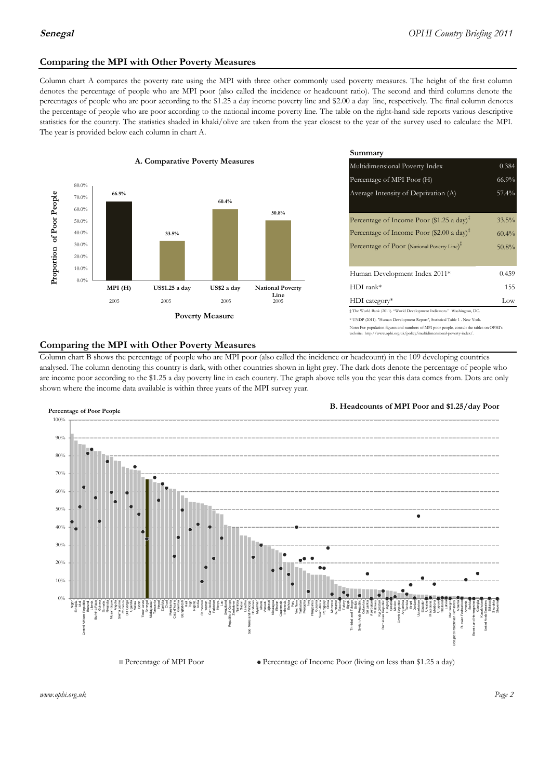# **Comparing the MPI with Other Poverty Measures**

Column chart A compares the poverty rate using the MPI with three other commonly used poverty measures. The height of the first column denotes the percentage of people who are MPI poor (also called the incidence or headcount ratio). The second and third columns denote the percentages of people who are poor according to the \$1.25 a day income poverty line and \$2.00 a day line, respectively. The final column denotes the percentage of people who are poor according to the national income poverty line. The table on the right-hand side reports various descriptive statistics for the country. The statistics shaded in khaki/olive are taken from the year closest to the year of the survey used to calculate the MPI. The year is provided below each column in chart A.



|                 |                         | Summary                                                                                                                                                                                                          |                               |  |  |
|-----------------|-------------------------|------------------------------------------------------------------------------------------------------------------------------------------------------------------------------------------------------------------|-------------------------------|--|--|
| erty Measures   |                         | Multidimensional Poverty Index<br>0.384                                                                                                                                                                          |                               |  |  |
|                 |                         | Percentage of MPI Poor (H)                                                                                                                                                                                       | 66.9%                         |  |  |
| 60.4%           |                         | Average Intensity of Deprivation (A)                                                                                                                                                                             | 57.4%                         |  |  |
|                 | 50.8%                   | Percentage of Income Poor (\$1.25 a day) <sup><math>\ddagger</math></sup><br>Percentage of Income Poor (\$2.00 a day) <sup><math>\bar{x}</math></sup><br>Percentage of Poor (National Poverty Line) <sup>#</sup> | 33.5%<br>$60.4\%$<br>$50.8\%$ |  |  |
|                 |                         | Human Development Index 2011*                                                                                                                                                                                    | 0.459                         |  |  |
| US\$2 a day     | <b>National Poverty</b> | $HDI$ rank*                                                                                                                                                                                                      | 155                           |  |  |
| 2005            | Line<br>2005            | $HDI category*$                                                                                                                                                                                                  | Low                           |  |  |
| <b>⁄Ieasure</b> |                         | $\pm$ The World Bank (2011). "World Development Indicators." Washington, DC.<br>* UNDP (2011). "Human Development Report", Statistical Table 1 . New York.                                                       |                               |  |  |

te: For population figures and numbers of MPI poor people, consult the tables on OPHI's te: http://www.ophi.org.uk/policy/multidimensional-poverty-index/

## **Comparing the MPI with Other Poverty Measures**

Column chart B shows the percentage of people who are MPI poor (also called the incidence or headcount) in the 109 developing countries analysed. The column denoting this country is dark, with other countries shown in light grey. The dark dots denote the percentage of people who are income poor according to the \$1.25 a day poverty line in each country. The graph above tells you the year this data comes from. Dots are only shown where the income data available is within three years of the MPI survey year.



**B. Headcounts of MPI Poor and \$1.25/day Poor**

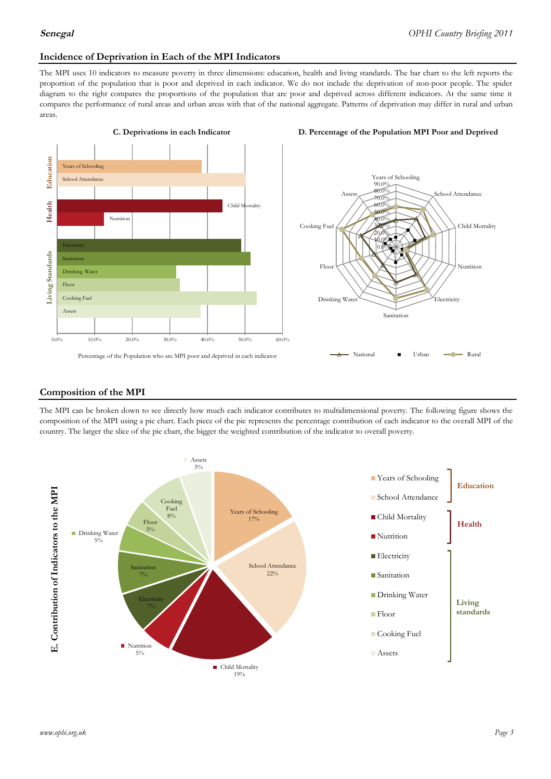### **Incidence of Deprivation in Each of the MPI Indicators**

The MPI uses 10 indicators to measure poverty in three dimensions: education, health and living standards. The bar chart to the left reports the proportion of the population that is poor and deprived in each indicator. We do not include the deprivation of non-poor people. The spider diagram to the right compares the proportions of the population that are poor and deprived across different indicators. At the same time it compares the performance of rural areas and urban areas with that of the national aggregate. Patterns of deprivation may differ in rural and urban areas.







#### **Composition of the MPI**

The MPI can be broken down to see directly how much each indicator contributes to multidimensional poverty. The following figure shows the composition of the MPI using a pie chart. Each piece of the pie represents the percentage contribution of each indicator to the overall MPI of the country. The larger the slice of the pie chart, the bigger the weighted contribution of the indicator to overall poverty.

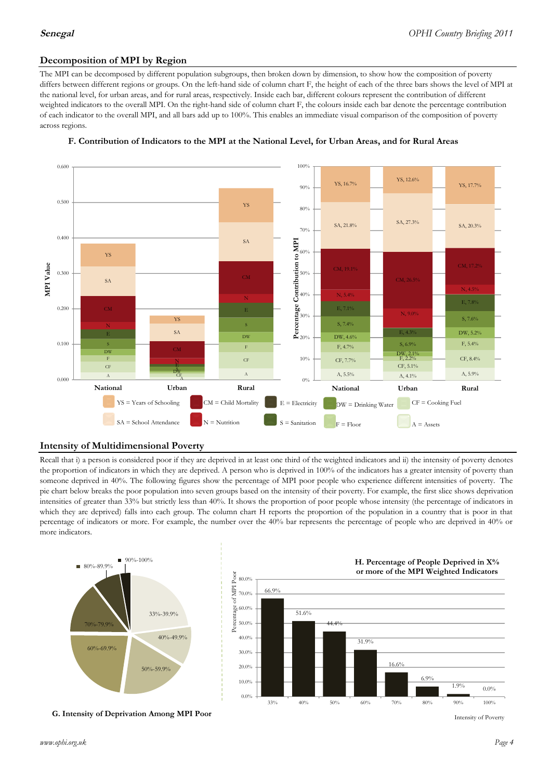# **Decomposition of MPI by Region**

The MPI can be decomposed by different population subgroups, then broken down by dimension, to show how the composition of poverty differs between different regions or groups. On the left-hand side of column chart F, the height of each of the three bars shows the level of MPI at the national level, for urban areas, and for rural areas, respectively. Inside each bar, different colours represent the contribution of different weighted indicators to the overall MPI. On the right-hand side of column chart F, the colours inside each bar denote the percentage contribution of each indicator to the overall MPI, and all bars add up to 100%. This enables an immediate visual comparison of the composition of poverty across regions.



### **F. Contribution of Indicators to the MPI at the National Level, for Urban Areas, and for Rural Areas**

## **Intensity of Multidimensional Poverty**

Recall that i) a person is considered poor if they are deprived in at least one third of the weighted indicators and ii) the intensity of poverty denotes the proportion of indicators in which they are deprived. A person who is deprived in 100% of the indicators has a greater intensity of poverty than someone deprived in 40%. The following figures show the percentage of MPI poor people who experience different intensities of poverty. The pie chart below breaks the poor population into seven groups based on the intensity of their poverty. For example, the first slice shows deprivation intensities of greater than 33% but strictly less than 40%. It shows the proportion of poor people whose intensity (the percentage of indicators in which they are deprived) falls into each group. The column chart H reports the proportion of the population in a country that is poor in that percentage of indicators or more. For example, the number over the 40% bar represents the percentage of people who are deprived in 40% or more indicators.



**G. Intensity of Deprivation Among MPI Poor**



Intensity of Poverty